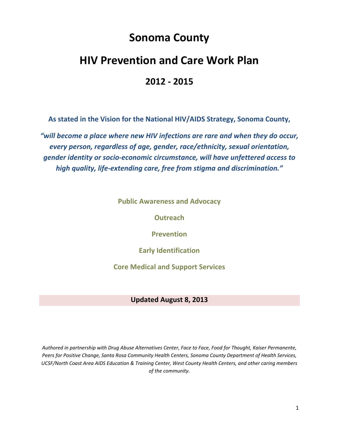# **Sonoma County**

# **HIV Prevention and Care Work Plan**

### **2012 ‐ 2015**

 **As stated in the Vision for the National HIV/AIDS Strategy, Sonoma County,**

 *"will become a place where new HIV infections are rare and when they do occur, every person, regardless of age, gender, race/ethnicity, sexual orientation, gender identity or socio‐economic circumstance, will have unfettered access to high quality, life‐extending care, free from stigma and discrimination."*

 **Public Awareness and Advocacy**

**Outreach**

**Prevention**

**Early Identification**

 **Core Medical and Support Services**

### **Updated August 8, 2013**

Authored in partnership with Drug Abuse Alternatives Center, Face to Face, Food for Thought, Kaiser Permanente, Peers for Positive Change, Santa Rosa Community Health Centers, Sonoma County Department of Health Services, UCSF/North Coast Area AIDS Education & Training Center, West County Health Centers, and other caring members  *of the community.*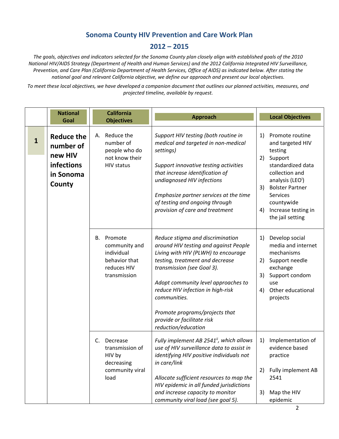#### **Sonoma County HIV Prevention and Care Work Plan**

### **2012 – 2015**

The goals, objectives and indicators selected for the Sonoma County plan closely align with established goals of the 2010 National HIV/AIDS Strategy (Department of Health and Human Services) and the 2012 California Integrated HIV Surveillance, Prevention, and Care Plan (California Department of Health Services, Office of AIDS) as indicated below. After stating the national goal and relevant California objective, we define our approach and present our local objectives.

To meet these local objectives, we have developed a companion document that outlines our planned activities, measures, and  *projected timeline, available by request.*

|              | <b>National</b><br>Goal                                                        | <b>California</b><br><b>Objectives</b>                                                       | <b>Approach</b>                                                                                                                                                                                                                                                                                                                                                      | <b>Local Objectives</b>                                                                                                                                                                                                                                        |
|--------------|--------------------------------------------------------------------------------|----------------------------------------------------------------------------------------------|----------------------------------------------------------------------------------------------------------------------------------------------------------------------------------------------------------------------------------------------------------------------------------------------------------------------------------------------------------------------|----------------------------------------------------------------------------------------------------------------------------------------------------------------------------------------------------------------------------------------------------------------|
| $\mathbf{1}$ | <b>Reduce the</b><br>number of<br>new HIV<br>infections<br>in Sonoma<br>County | Reduce the<br>А.<br>number of<br>people who do<br>not know their<br><b>HIV status</b>        | Support HIV testing (both routine in<br>medical and targeted in non-medical<br>settings)<br>Support innovative testing activities<br>that increase identification of<br>undiagnosed HIV infections<br>Emphasize partner services at the time<br>of testing and ongoing through<br>provision of care and treatment                                                    | Promote routine<br>1)<br>and targeted HIV<br>testing<br>Support<br>2)<br>standardized data<br>collection and<br>analysis (LEO <sup>i</sup> )<br><b>Bolster Partner</b><br>3)<br><b>Services</b><br>countywide<br>Increase testing in<br>4)<br>the jail setting |
|              |                                                                                | Promote<br>В.<br>community and<br>individual<br>behavior that<br>reduces HIV<br>transmission | Reduce stigma and discrimination<br>around HIV testing and against People<br>Living with HIV (PLWH) to encourage<br>testing, treatment and decrease<br>transmission (see Goal 3).<br>Adopt community level approaches to<br>reduce HIV infection in high-risk<br>communities.<br>Promote programs/projects that<br>provide or facilitate risk<br>reduction/education | Develop social<br>1)<br>media and internet<br>mechanisms<br>Support needle<br>2)<br>exchange<br>Support condom<br>3)<br>use<br>Other educational<br>4)<br>projects                                                                                             |
|              |                                                                                | Decrease<br>C.<br>transmission of<br>HIV by<br>decreasing<br>community viral<br>load         | Fully implement AB 2541", which allows<br>use of HIV surveillance data to assist in<br>identifying HIV positive individuals not<br>in care/link<br>Allocate sufficient resources to map the<br>HIV epidemic in all funded jurisdictions<br>and increase capacity to monitor<br>community viral load (see goal 5).                                                    | Implementation of<br>1)<br>evidence based<br>practice<br>Fully implement AB<br>2)<br>2541<br>Map the HIV<br>3)<br>epidemic                                                                                                                                     |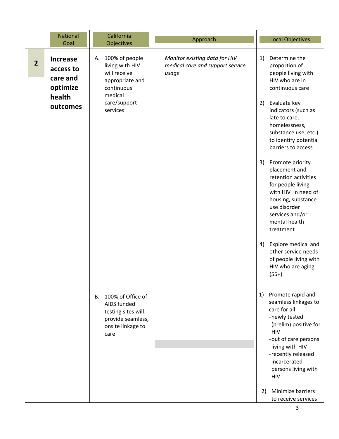|                | <b>National</b><br>Goal                                                    | California<br><b>Objectives</b>                                                                                | Approach                                                                   |    | <b>Local Objectives</b>                                                                                                                                                                                                                  |
|----------------|----------------------------------------------------------------------------|----------------------------------------------------------------------------------------------------------------|----------------------------------------------------------------------------|----|------------------------------------------------------------------------------------------------------------------------------------------------------------------------------------------------------------------------------------------|
| $\overline{2}$ | <b>Increase</b><br>access to<br>care and<br>optimize<br>health<br>outcomes | 100% of people<br>А.<br>living with HIV<br>will receive<br>appropriate and<br>continuous<br>medical            | Monitor existing data for HIV<br>medical care and support service<br>usage | 1) | Determine the<br>proportion of<br>people living with<br>HIV who are in<br>continuous care                                                                                                                                                |
|                |                                                                            | care/support<br>services                                                                                       |                                                                            | 2) | Evaluate key<br>indicators (such as<br>late to care,<br>homelessness,<br>substance use, etc.)<br>to identify potential<br>barriers to access                                                                                             |
|                |                                                                            |                                                                                                                |                                                                            | 3) | Promote priority<br>placement and<br>retention activities<br>for people living<br>with HIV in need of<br>housing, substance<br>use disorder<br>services and/or<br>mental health<br>treatment                                             |
|                |                                                                            |                                                                                                                |                                                                            | 4) | Explore medical and<br>other service needs<br>of people living with<br>HIV who are aging<br>$(55+)$                                                                                                                                      |
|                |                                                                            | 100% of Office of<br>B.<br>AIDS funded<br>testing sites will<br>provide seamless,<br>onsite linkage to<br>care |                                                                            | 1) | Promote rapid and<br>seamless linkages to<br>care for all:<br>-newly tested<br>(prelim) positive for<br><b>HIV</b><br>-out of care persons<br>living with HIV<br>-recently released<br>incarcerated<br>persons living with<br><b>HIV</b> |
|                |                                                                            |                                                                                                                |                                                                            | 2) | Minimize barriers<br>to receive services                                                                                                                                                                                                 |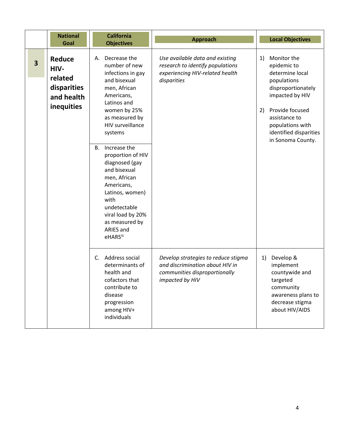|                         | <b>National</b><br>Goal                                              | <b>California</b><br><b>Objectives</b>                                                                                                                                                                                                                                                                                                                                                                       | <b>Approach</b>                                                                                                            | <b>Local Objectives</b>                                                                                                                                                                                                  |
|-------------------------|----------------------------------------------------------------------|--------------------------------------------------------------------------------------------------------------------------------------------------------------------------------------------------------------------------------------------------------------------------------------------------------------------------------------------------------------------------------------------------------------|----------------------------------------------------------------------------------------------------------------------------|--------------------------------------------------------------------------------------------------------------------------------------------------------------------------------------------------------------------------|
| $\overline{\mathbf{3}}$ | Reduce<br>HIV-<br>related<br>disparities<br>and health<br>inequities | Decrease the<br>А.<br>number of new<br>infections in gay<br>and bisexual<br>men, African<br>Americans,<br>Latinos and<br>women by 25%<br>as measured by<br>HIV surveillance<br>systems<br>Increase the<br>В.<br>proportion of HIV<br>diagnosed (gay<br>and bisexual<br>men, African<br>Americans,<br>Latinos, women)<br>with<br>undetectable<br>viral load by 20%<br>as measured by<br>ARIES and<br>eHARSiii | Use available data and existing<br>research to identify populations<br>experiencing HIV-related health<br>disparities      | Monitor the<br>1)<br>epidemic to<br>determine local<br>populations<br>disproportionately<br>impacted by HIV<br>Provide focused<br>2)<br>assistance to<br>populations with<br>identified disparities<br>in Sonoma County. |
|                         |                                                                      | C. Address social<br>determinants of<br>health and<br>cofactors that<br>contribute to<br>disease<br>progression<br>among HIV+<br>individuals                                                                                                                                                                                                                                                                 | Develop strategies to reduce stigma<br>and discrimination about HIV in<br>communities disproportionally<br>impacted by HIV | Develop &<br>1)<br>implement<br>countywide and<br>targeted<br>community<br>awareness plans to<br>decrease stigma<br>about HIV/AIDS                                                                                       |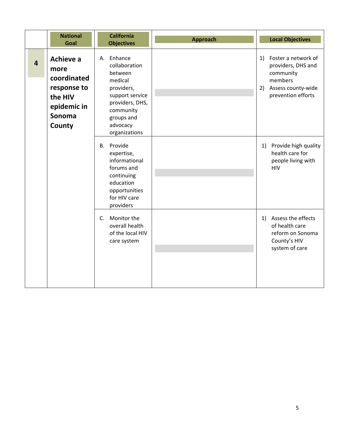|                | <b>National</b><br>Goal                                                                       | <b>California</b><br><b>Objectives</b>                                                                                                                           | Approach | <b>Local Objectives</b>                                                                                                   |
|----------------|-----------------------------------------------------------------------------------------------|------------------------------------------------------------------------------------------------------------------------------------------------------------------|----------|---------------------------------------------------------------------------------------------------------------------------|
| $\overline{a}$ | Achieve a<br>more<br>coordinated<br>response to<br>the HIV<br>epidemic in<br>Sonoma<br>County | Enhance<br>А.<br>collaboration<br>between<br>medical<br>providers,<br>support service<br>providers, DHS,<br>community<br>groups and<br>advocacy<br>organizations |          | Foster a network of<br>1)<br>providers, DHS and<br>community<br>members<br>Assess county-wide<br>2)<br>prevention efforts |
|                |                                                                                               | B. Provide<br>expertise,<br>informational<br>forums and<br>continuing<br>education<br>opportunities<br>for HIV care<br>providers                                 |          | 1) Provide high quality<br>health care for<br>people living with<br><b>HIV</b>                                            |
|                |                                                                                               | C. Monitor the<br>overall health<br>of the local HIV<br>care system                                                                                              |          | Assess the effects<br>1)<br>of health care<br>reform on Sonoma<br>County's HIV<br>system of care                          |